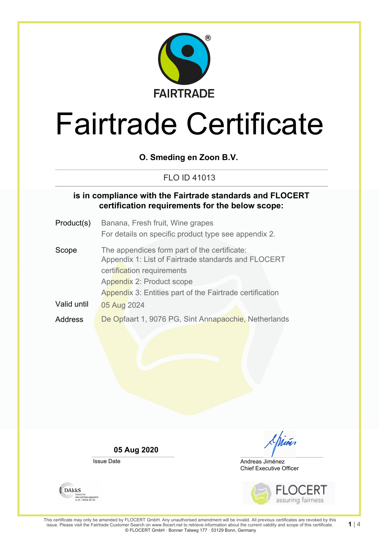

## **O. Smeding en Zoon B.V.**

## FLO ID 41013

## **is in compliance with the Fairtrade standards and FLOCERT certification requirements for the below scope:**

- Product(s) Banana, Fresh fruit, Wine grapes For details on specific product type see appendix 2.
- Scope The appendices form part of the certificate: Appendix 1: List of Fairtrade standards and FLOCERT certification requirements Appendix 2: Product scope Appendix 3: Entities part of the Fairtrade certification Valid until 05 Aug 2024 Address De Opfaart 1, 9076 PG, Sint Annapaochie, Netherlands

**05 Aug 2020**

Issue Date

Chian

Chief Executive Officer Andreas Jiménez



**DAKKS** Akkreditierungsstelle<br>D-ZE-14408-01-00

**1** | 4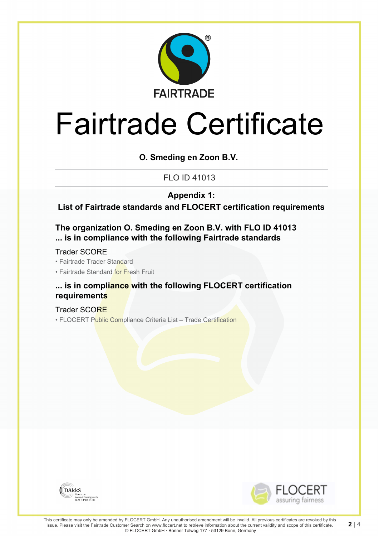

**O. Smeding en Zoon B.V.**

FLO ID 41013

**Appendix 1:**

**List of Fairtrade standards and FLOCERT certification requirements**

**The organization O. Smeding en Zoon B.V. with FLO ID 41013 ... is in compliance with the following Fairtrade standards**

Trader SCORE

• Fairtrade Trader Standard

• Fairtrade Standard for Fresh Fruit

### **... is in compliance with the following FLOCERT certification requirements**

Trader SCORE • FLOCERT Public Compliance Criteria List - Trade Certification





**2** | 4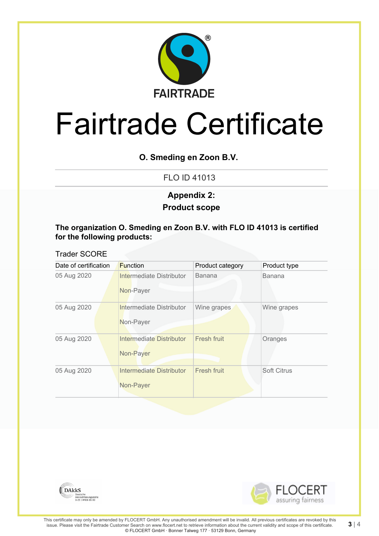

## **O. Smeding en Zoon B.V.**

FLO ID 41013

## **Product scope Appendix 2:**

### **The organization O. Smeding en Zoon B.V. with FLO ID 41013 is certified for the following products:**

### Trader SCORE

| Date of certification | <b>Function</b>                              | Product category | Product type       |
|-----------------------|----------------------------------------------|------------------|--------------------|
| 05 Aug 2020           | Intermediate Distributor<br>Non-Payer        | <b>Banana</b>    | <b>Banana</b>      |
| 05 Aug 2020           | Intermediate Distributor<br>Non-Payer        | Wine grapes      | Wine grapes        |
| 05 Aug 2020           | Intermediate Distributor<br>Non-Payer        | Fresh fruit      | Oranges            |
| 05 Aug 2020           | <b>Intermediate Distributor</b><br>Non-Payer | Fresh fruit      | <b>Soft Citrus</b> |